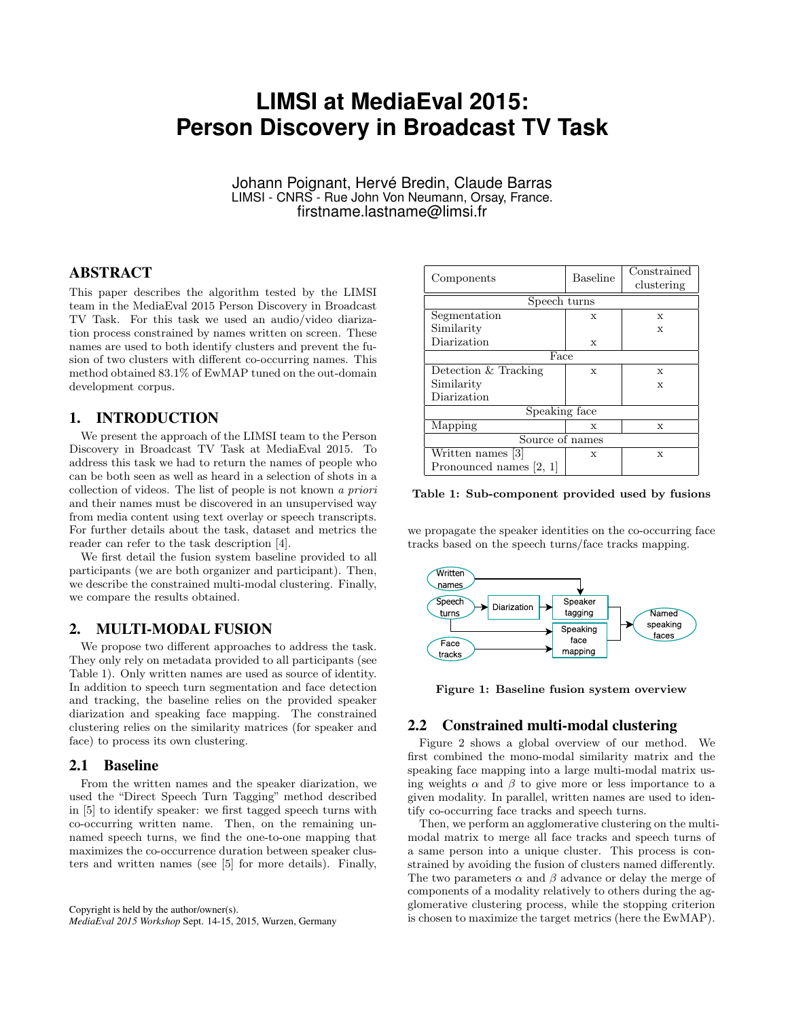# **LIMSI at MediaEval 2015: Person Discovery in Broadcast TV Task**

Johann Poignant, Hervé Bredin, Claude Barras LIMSI - CNRS - Rue John Von Neumann, Orsay, France. firstname.lastname@limsi.fr

# ABSTRACT

This paper describes the algorithm tested by the LIMSI team in the MediaEval 2015 Person Discovery in Broadcast TV Task. For this task we used an audio/video diarization process constrained by names written on screen. These names are used to both identify clusters and prevent the fusion of two clusters with different co-occurring names. This method obtained 83.1% of EwMAP tuned on the out-domain development corpus.

## 1. INTRODUCTION

We present the approach of the LIMSI team to the Person Discovery in Broadcast TV Task at MediaEval 2015. To address this task we had to return the names of people who can be both seen as well as heard in a selection of shots in a collection of videos. The list of people is not known a priori and their names must be discovered in an unsupervised way from media content using text overlay or speech transcripts. For further details about the task, dataset and metrics the reader can refer to the task description [4].

We first detail the fusion system baseline provided to all participants (we are both organizer and participant). Then, we describe the constrained multi-modal clustering. Finally, we compare the results obtained.

## 2. MULTI-MODAL FUSION

We propose two different approaches to address the task. They only rely on metadata provided to all participants (see Table 1). Only written names are used as source of identity. In addition to speech turn segmentation and face detection and tracking, the baseline relies on the provided speaker diarization and speaking face mapping. The constrained clustering relies on the similarity matrices (for speaker and face) to process its own clustering.

#### 2.1 Baseline

From the written names and the speaker diarization, we used the "Direct Speech Turn Tagging" method described in [5] to identify speaker: we first tagged speech turns with co-occurring written name. Then, on the remaining unnamed speech turns, we find the one-to-one mapping that maximizes the co-occurrence duration between speaker clusters and written names (see [5] for more details). Finally,

| Components              | <b>Baseline</b> | Constrained<br>clustering |  |  |  |
|-------------------------|-----------------|---------------------------|--|--|--|
| Speech turns            |                 |                           |  |  |  |
| Segmentation            | X               | X                         |  |  |  |
| Similarity              |                 | X                         |  |  |  |
| Diarization             | X               |                           |  |  |  |
| Face                    |                 |                           |  |  |  |
| Detection & Tracking    | X               | X                         |  |  |  |
| Similarity              |                 | X                         |  |  |  |
| Diarization             |                 |                           |  |  |  |
| Speaking face           |                 |                           |  |  |  |
| Mapping                 | X               | X                         |  |  |  |
| Source of names         |                 |                           |  |  |  |
| Written names [3]       | X               | X                         |  |  |  |
| Pronounced names [2, 1] |                 |                           |  |  |  |

Table 1: Sub-component provided used by fusions

we propagate the speaker identities on the co-occurring face tracks based on the speech turns/face tracks mapping.



Figure 1: Baseline fusion system overview

#### 2.2 Constrained multi-modal clustering

Figure 2 shows a global overview of our method. We first combined the mono-modal similarity matrix and the speaking face mapping into a large multi-modal matrix using weights  $\alpha$  and  $\beta$  to give more or less importance to a given modality. In parallel, written names are used to identify co-occurring face tracks and speech turns.

Then, we perform an agglomerative clustering on the multimodal matrix to merge all face tracks and speech turns of a same person into a unique cluster. This process is constrained by avoiding the fusion of clusters named differently. The two parameters  $\alpha$  and  $\beta$  advance or delay the merge of components of a modality relatively to others during the agglomerative clustering process, while the stopping criterion is chosen to maximize the target metrics (here the EwMAP).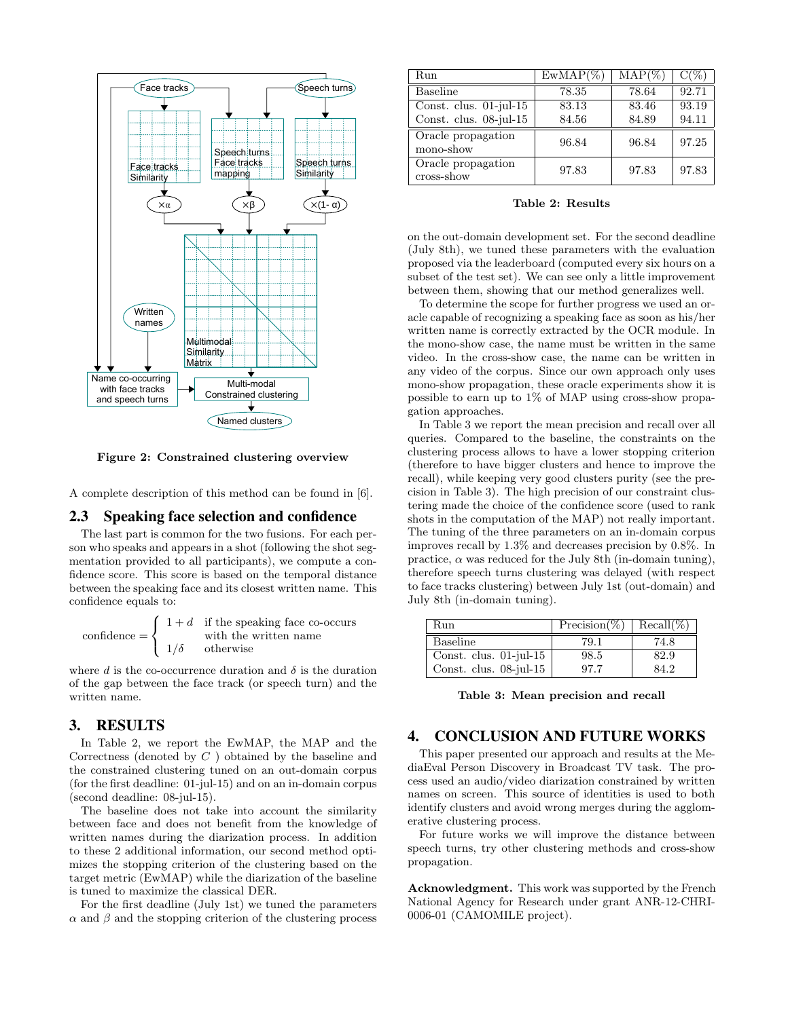

Figure 2: Constrained clustering overview

A complete description of this method can be found in [6].

## 2.3 Speaking face selection and confidence

The last part is common for the two fusions. For each person who speaks and appears in a shot (following the shot segmentation provided to all participants), we compute a confidence score. This score is based on the temporal distance between the speaking face and its closest written name. This confidence equals to:

$$
\text{confidence} = \begin{cases} 1+d & \text{if the speaking face co-occurs} \\ 1/\delta & \text{otherwise} \end{cases}
$$

where  $d$  is the co-occurrence duration and  $\delta$  is the duration of the gap between the face track (or speech turn) and the written name.

## 3. RESULTS

In Table 2, we report the EwMAP, the MAP and the Correctness (denoted by C ) obtained by the baseline and the constrained clustering tuned on an out-domain corpus (for the first deadline: 01-jul-15) and on an in-domain corpus (second deadline: 08-jul-15).

The baseline does not take into account the similarity between face and does not benefit from the knowledge of written names during the diarization process. In addition to these 2 additional information, our second method optimizes the stopping criterion of the clustering based on the target metric (EwMAP) while the diarization of the baseline is tuned to maximize the classical DER.

For the first deadline (July 1st) we tuned the parameters  $\alpha$  and  $\beta$  and the stopping criterion of the clustering process

| Run                                                 | $EwMAP(\%$     | $\mathrm{MAP}(\%)$ |                |
|-----------------------------------------------------|----------------|--------------------|----------------|
| Baseline                                            | 78.35          | 78.64              | 92.71          |
| Const. clus. $01$ -jul-15<br>Const. clus. 08-jul-15 | 83.13<br>84.56 | 83.46<br>84.89     | 93.19<br>94.11 |
| Oracle propagation<br>mono-show                     | 96.84          | 96.84              | 97.25          |
| Oracle propagation<br>cross-show                    | 97.83          | 97.83              | 97.83          |

#### Table 2: Results

on the out-domain development set. For the second deadline (July 8th), we tuned these parameters with the evaluation proposed via the leaderboard (computed every six hours on a subset of the test set). We can see only a little improvement between them, showing that our method generalizes well.

To determine the scope for further progress we used an oracle capable of recognizing a speaking face as soon as his/her written name is correctly extracted by the OCR module. In the mono-show case, the name must be written in the same video. In the cross-show case, the name can be written in any video of the corpus. Since our own approach only uses mono-show propagation, these oracle experiments show it is possible to earn up to 1% of MAP using cross-show propagation approaches.

In Table 3 we report the mean precision and recall over all queries. Compared to the baseline, the constraints on the clustering process allows to have a lower stopping criterion (therefore to have bigger clusters and hence to improve the recall), while keeping very good clusters purity (see the precision in Table 3). The high precision of our constraint clustering made the choice of the confidence score (used to rank shots in the computation of the MAP) not really important. The tuning of the three parameters on an in-domain corpus improves recall by 1.3% and decreases precision by 0.8%. In practice,  $\alpha$  was reduced for the July 8th (in-domain tuning), therefore speech turns clustering was delayed (with respect to face tracks clustering) between July 1st (out-domain) and July 8th (in-domain tuning).

| Run                                        | $Precision(\%)$ Recall(%) |      |
|--------------------------------------------|---------------------------|------|
| <b>Baseline</b>                            | 79.1                      | 74.8 |
| $\overline{\text{Const.}}$ clus. 01-jul-15 | 98.5                      | 82.9 |
| Const. clus. 08-jul-15                     | 97.7                      | 84.2 |

Table 3: Mean precision and recall

#### 4. CONCLUSION AND FUTURE WORKS

This paper presented our approach and results at the MediaEval Person Discovery in Broadcast TV task. The process used an audio/video diarization constrained by written names on screen. This source of identities is used to both identify clusters and avoid wrong merges during the agglomerative clustering process.

For future works we will improve the distance between speech turns, try other clustering methods and cross-show propagation.

Acknowledgment. This work was supported by the French National Agency for Research under grant ANR-12-CHRI-0006-01 (CAMOMILE project).